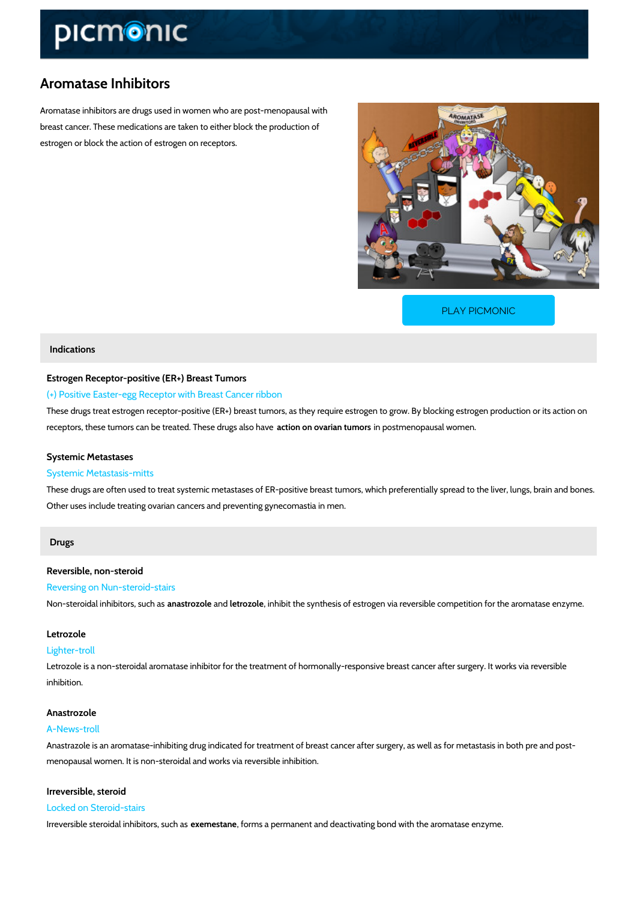# Aromatase Inhibitors

Aromatase inhibitors are drugs used in women who are post-menopausal with breast cancer. These medications are taken to either block the production of estrogen or block the action of estrogen on receptors.

[PLAY PICMONIC](https://www.picmonic.com/learn/aromatase-inhibitors_1386?utm_source=downloadable_content&utm_medium=distributedcontent&utm_campaign=pathways_pdf&utm_content=Aromatase Inhibitors&utm_ad_group=leads&utm_market=all)

## Indications

Estrogen Receptor-positive (ER+) Breast Tumors

(+) Positive Easter-egg Receptor with Breast Cancer ribbon

These drugs treat estrogen receptor-positive (ER+) breast tumors, as they require estrogen to receptors, these tumors can be treateadtion he se drug is inalt pound than seen opausal women.

# Systemic Metastases

#### Systemic Metastasis-mitts

These drugs are often used to treat systemic metastases of ER-positive breast tumors, which Other uses include treating ovarian cancers and preventing gynecomastia in men.

# Drugs

Reversible, non-steroid Reversing on Nun-steroid-stairs

Non-steroidal inhibiato as, trsouzan hileteats oz, olehibit the synthesis of estrogen via reversible competitio

## Letrozole

#### Lighter-troll

Letrozole is a non-steroidal aromatase inhibitor for the treatment of hormonally-responsive br inhibition.

# Anastrozole

#### A-News-troll

Anastrazole is an aromatase-inhibiting drug indicated for treatment of breast cancer after sur menopausal women. It is non-steroidal and works via reversible inhibition.

Irreversible, steroid Locked on Steroid-stairs

Irreversible steroidal inehxiebmiteostsafmeseumosh as permanent and deactivating bond with the aromatase  $\epsilon$